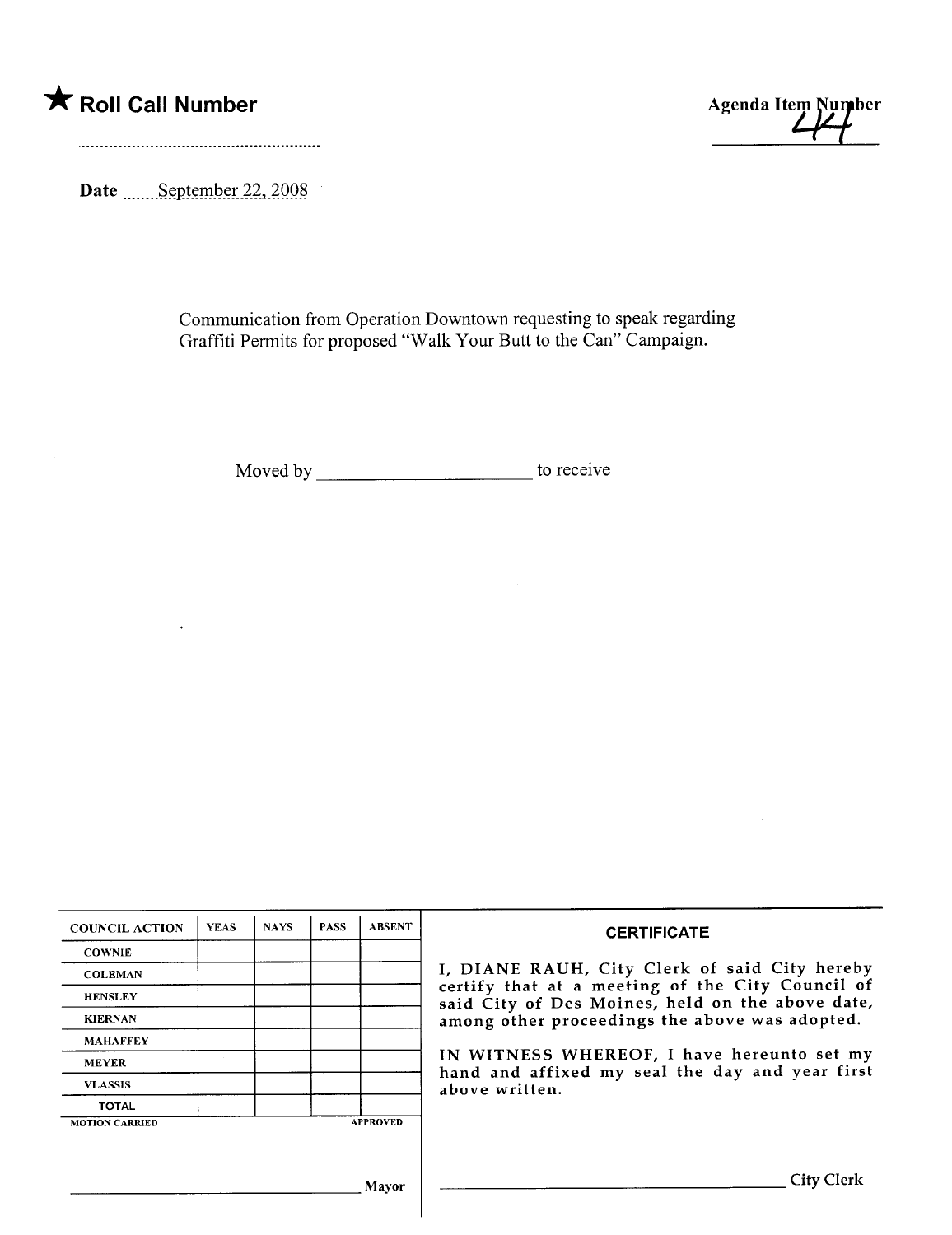



Date \_\_\_\_\_September 22, 2008

Communication from Operation Downtown requesting to speak regarding Graffiti Permits for proposed ''Walk Your Butt to the Can'' Campaign.

Moved by to receive

| <b>COUNCIL ACTION</b> | <b>YEAS</b> | <b>NAYS</b> | <b>PASS</b> | <b>ABSENT</b>   | <b>CERTIFICATE</b>                                                                                                                                                                                                                                                                                                         |  |  |  |
|-----------------------|-------------|-------------|-------------|-----------------|----------------------------------------------------------------------------------------------------------------------------------------------------------------------------------------------------------------------------------------------------------------------------------------------------------------------------|--|--|--|
| <b>COWNIE</b>         |             |             |             |                 |                                                                                                                                                                                                                                                                                                                            |  |  |  |
| <b>COLEMAN</b>        |             |             |             |                 | I, DIANE RAUH, City Clerk of said City hereby<br>certify that at a meeting of the City Council of<br>said City of Des Moines, held on the above date,<br>among other proceedings the above was adopted.<br>IN WITNESS WHEREOF, I have hereunto set my<br>hand and affixed my seal the day and year first<br>above written. |  |  |  |
| <b>HENSLEY</b>        |             |             |             |                 |                                                                                                                                                                                                                                                                                                                            |  |  |  |
| <b>KIERNAN</b>        |             |             |             |                 |                                                                                                                                                                                                                                                                                                                            |  |  |  |
| <b>MAHAFFEY</b>       |             |             |             |                 |                                                                                                                                                                                                                                                                                                                            |  |  |  |
| <b>MEYER</b>          |             |             |             |                 |                                                                                                                                                                                                                                                                                                                            |  |  |  |
| <b>VLASSIS</b>        |             |             |             |                 |                                                                                                                                                                                                                                                                                                                            |  |  |  |
| <b>TOTAL</b>          |             |             |             |                 |                                                                                                                                                                                                                                                                                                                            |  |  |  |
| <b>MOTION CARRIED</b> |             |             |             | <b>APPROVED</b> |                                                                                                                                                                                                                                                                                                                            |  |  |  |
|                       |             |             |             |                 |                                                                                                                                                                                                                                                                                                                            |  |  |  |
|                       |             |             |             | Mavor           | <b>City Clerk</b>                                                                                                                                                                                                                                                                                                          |  |  |  |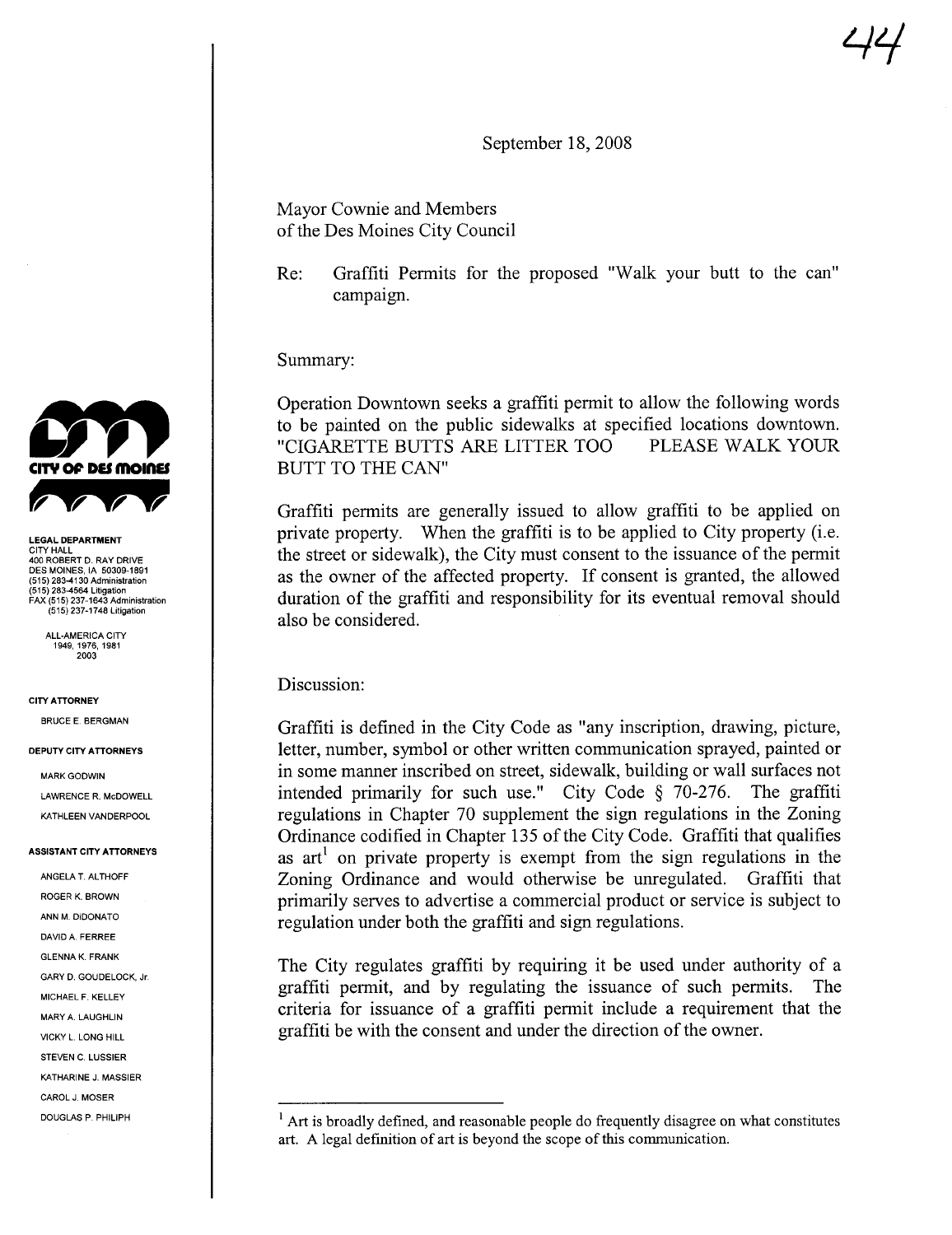September 18, 2008

Mayor Cownie and Members of the Des Moines City Council

Re: Graffiti Permits for the proposed "Walk your butt to the can" campaign.

Summary:

Operation Downtown seeks a graffti permit to allow the following words to be painted on the public sidewalks at specified locations downtown.<br>"CIGARETTE BUTTS ARE LITTER TOO PLEASE WALK YOUR "CIGARETTE BUTTS ARE LITTER TOO BUTT TO THE CAN"

Graffiti permits are generally issued to allow graffti to be applied on private property. When the graffiti is to be applied to City property (i.e. the street or sidewalk), the City must consent to the issuance of the permit as the owner of the affected property. If consent is granted, the allowed duration of the graffiti and responsibility for its eventual removal should also be considered.

Discussion:

BRUCE E. BERGMAN Graffiti is defined in the City Code as "any inscription, drawing, picture, letter, number, symbol or other written communication sprayed, painted or in some manner inscribed on street, sidewalk, building or wall surfaces not intended primarily for such use." City Code § 70-276. The graffti regulations in Chapter 70 supplement the sign regulations in the Zoning Ordinance codified in Chapter 135 of the City Code. Graffiti that qualifies as  $art^1$  on private property is exempt from the sign regulations in the Zoning Ordinance and would otherwise be unregulated. Graffiti that primarily serves to advertise a commercial product or service is subject to regulation under both the graffiti and sign regulations.

> The City regulates graffti by requiring it be used under authority of a graffiti permit, and by regulating the issuance of such permits. The criteria for issuance of a graffti permit include a requirement that the graffti be with the consent and under the direction of the owner.



LEGAL DEPARTMENT CITY HALL 400 ROBERT D. RAY DRIVE DES MOINES, IA 50309-1891 (515) 283-4130 Administration (515) 283-4564 Litigation FAX (515) 237-1643 Administration (515) 237-1748 Litigation

ALL-AMERICA CITY 1949,1976,1981 2003

#### CITY ATTORNEY

#### DEPUTY CITY ATTORNEYS

MARK GODWIN LAWRENCE R. McDOWELL KATHLEEN VANDERPOOL

#### ASSISTANT CITY ATTORNEYS

ANGELA T. ALTHOFF ROGER K. BROWN ANN M. DiDONATO DAVID A. FERREE GLENNA K. FRANK MARY A. LAUGHLIN GARY D. GOUDELOCK, Jr. MICHAEL F. KELLEY VICKY L. LONG HILL STEVEN C. LUSSIER KATHARINE J. MASSIER CAROL J. MOSER

DOUGLAS P. PHILIPH  $\frac{1}{1}$  Art is broadly defined, and reasonable people do frequently disagree on what constitutes art, A legal definition of art is beyond the scope of this communication.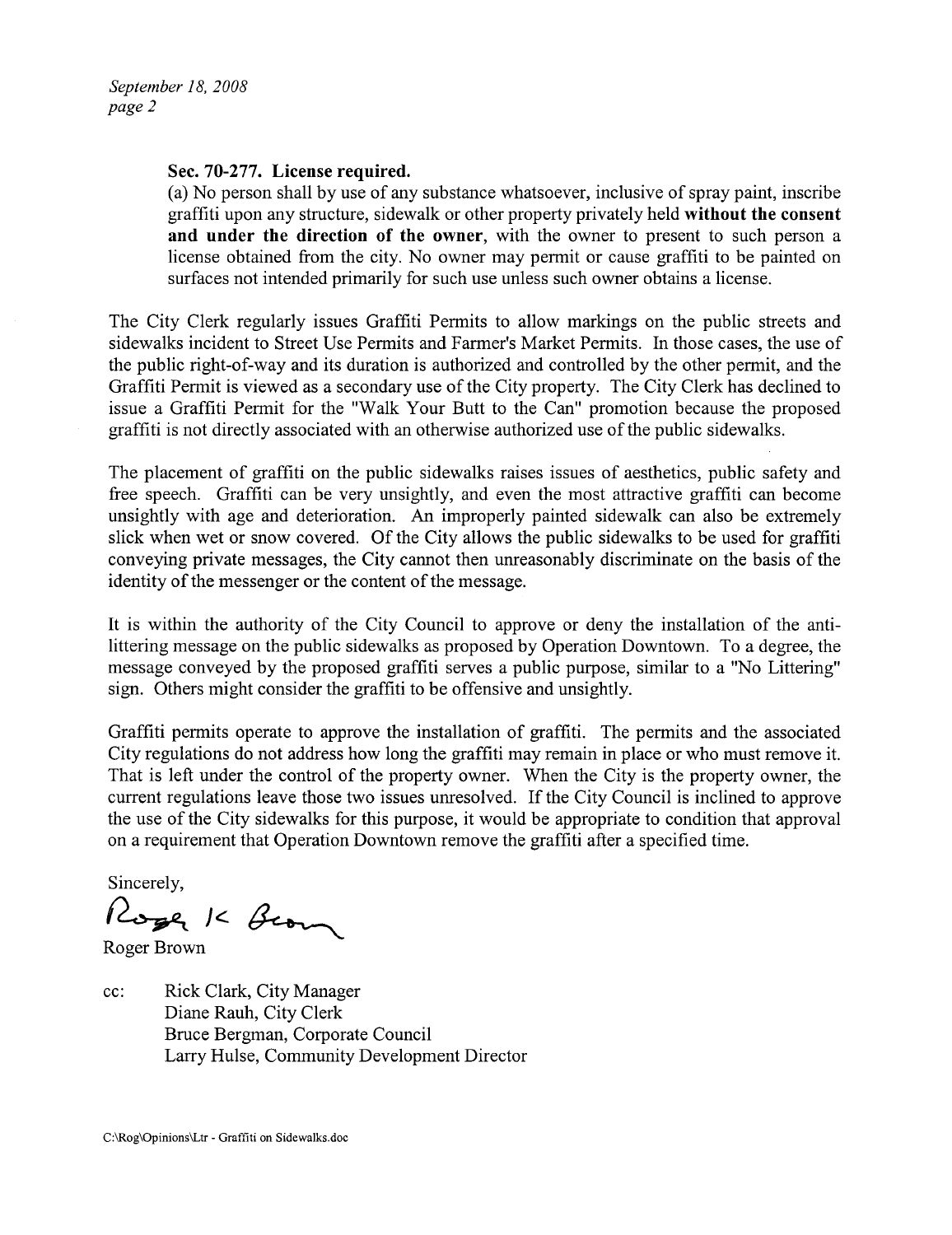### Sec. 70-277. License required.

(a) No person shall by use of any substance whatsoever, inclusive of spray paint, inscribe graffiti upon any structure, sidewalk or other property privately held without the consent and under the direction of the owner, with the owner to present to such person a license obtained from the city. No owner may permit or cause graffiti to be painted on surfaces not intended primarily for such use unless such owner obtains a license.

The City Clerk regularly issues Graffti Permits to allow markings on the public streets and sidewalks incident to Street Use Permits and Farmer's Market Permits. In those cases, the use of the public right-of-way and its duration is authorized and controlled by the other permit, and the Graffti Permit is viewed as a secondary use of the City property. The City Clerk has declined to issue a Graffiti Permit for the "Walk Your Butt to the Can" promotion because the proposed graffiti is not directly associated with an otherwise authorized use of the public sidewalks.

The placement of graffiti on the public sidewalks raises issues of aesthetics, public safety and free speech. Graffiti can be very unsightly, and even the most attractive graffiti can become unsightly with age and deterioration. An improperly painted sidewalk can also be extremely slick when wet or snow covered. Of the City allows the public sidewalks to be used for graffiti conveying private messages, the City cannot then unreasonably discriminate on the basis of the identity of the messenger or the content of the message.

It is within the authority of the City Council to approve or deny the installation of the antilittering message on the public sidewalks as proposed by Operation Downtown. To a degree, the message conveyed by the proposed graffti serves a public purpose, similar to a "No Littering" sign. Others might consider the graffiti to be offensive and unsightly.

Graffiti permits operate to approve the installation of graffiti. The permits and the associated City regulations do not address how long the graffiti may remain in place or who must remove it. That is left under the control of the property owner. When the City is the property owner, the current regulations leave those two issues unresolved. If the City Council is inclined to approve the use of the City sidewalks for this purpose, it would be appropriate to condition that approval on a requirement that Operation Downtown remove the graffti after a specified time.

Sincerely,

Roge K Beom

Roger Brown

cc: Rick Clark, City Manager Diane Rauh, City Clerk Bruce Bergman, Corporate Council Larry Hulse, Community Development Director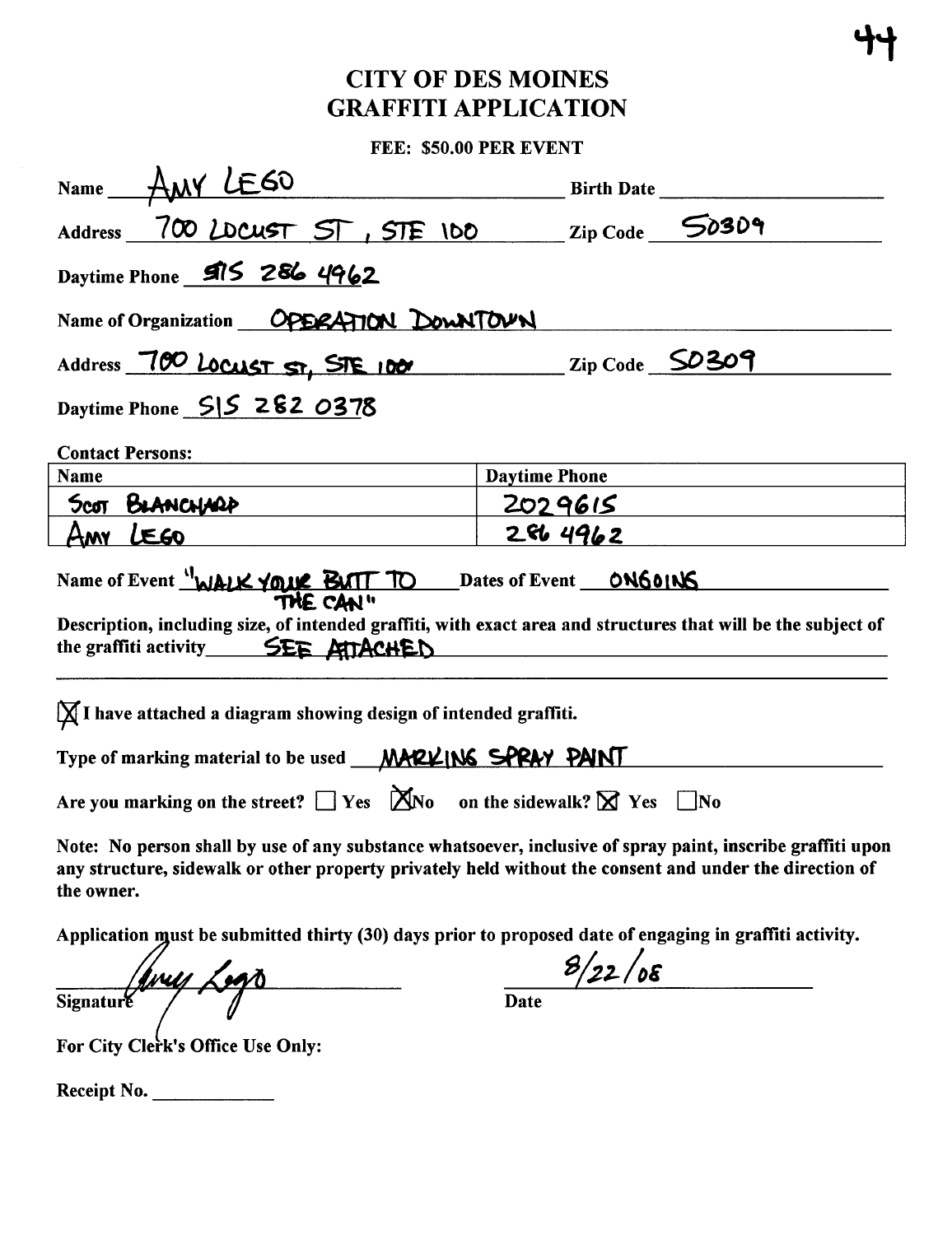## **CITY OF DES MOINES GRAFFITI APPLICATION**

FEE: \$50.00 PER EVENT

| Name ANY LEGO                                                                                                                                                                                                                       | <b>Birth Date</b>                |  |  |  |  |  |  |  |
|-------------------------------------------------------------------------------------------------------------------------------------------------------------------------------------------------------------------------------------|----------------------------------|--|--|--|--|--|--|--|
| Address 700 LDCUST ST, STE 100                                                                                                                                                                                                      | $\mathbb{Z}ip \text{Code}$ 50309 |  |  |  |  |  |  |  |
| Daytime Phone 915 286 4962                                                                                                                                                                                                          |                                  |  |  |  |  |  |  |  |
| Name of Organization OPERATION DowNTOUN                                                                                                                                                                                             |                                  |  |  |  |  |  |  |  |
| Address 700 LOCUST ST, STE 100<br>$\_$ Zip Code $\_$ SO 309                                                                                                                                                                         |                                  |  |  |  |  |  |  |  |
| Daytime Phone SIS 282 0378                                                                                                                                                                                                          |                                  |  |  |  |  |  |  |  |
| <b>Contact Persons:</b>                                                                                                                                                                                                             |                                  |  |  |  |  |  |  |  |
| Name                                                                                                                                                                                                                                | <b>Daytime Phone</b>             |  |  |  |  |  |  |  |
| Scot BLANCHARD                                                                                                                                                                                                                      | 2029615                          |  |  |  |  |  |  |  |
| Any LEGO                                                                                                                                                                                                                            | 2864962                          |  |  |  |  |  |  |  |
| Name of Event "WALK YOUR BUTT TO Dates of Event ONGOING                                                                                                                                                                             |                                  |  |  |  |  |  |  |  |
| Description, including size, of intended graffiti, with exact area and structures that will be the subject of<br>the graffiti activity SEE ATTACHED                                                                                 |                                  |  |  |  |  |  |  |  |
| $\chi$ I have attached a diagram showing design of intended graffiti.                                                                                                                                                               |                                  |  |  |  |  |  |  |  |
| Type of marking material to be used MARLING SPRAY PAINT                                                                                                                                                                             |                                  |  |  |  |  |  |  |  |
| Are you marking on the street? $\Box$ Yes $\Box$ No on the sidewalk? $\boxtimes$ Yes $\Box$ No                                                                                                                                      |                                  |  |  |  |  |  |  |  |
| Note: No person shall by use of any substance whatsoever, inclusive of spray paint, inscribe graffiti upon<br>any structure, sidewalk or other property privately held without the consent and under the direction of<br>the owner. |                                  |  |  |  |  |  |  |  |

Application must be submitted thirty (30) days prior to proposed date of engaging in graffiti activity.

|                  | $\boldsymbol{M}$ | Z M |  |
|------------------|------------------|-----|--|
| <b>Signature</b> |                  |     |  |

 $8/22/08$ Date

For City Clerk's Office Use Only:

Receipt No.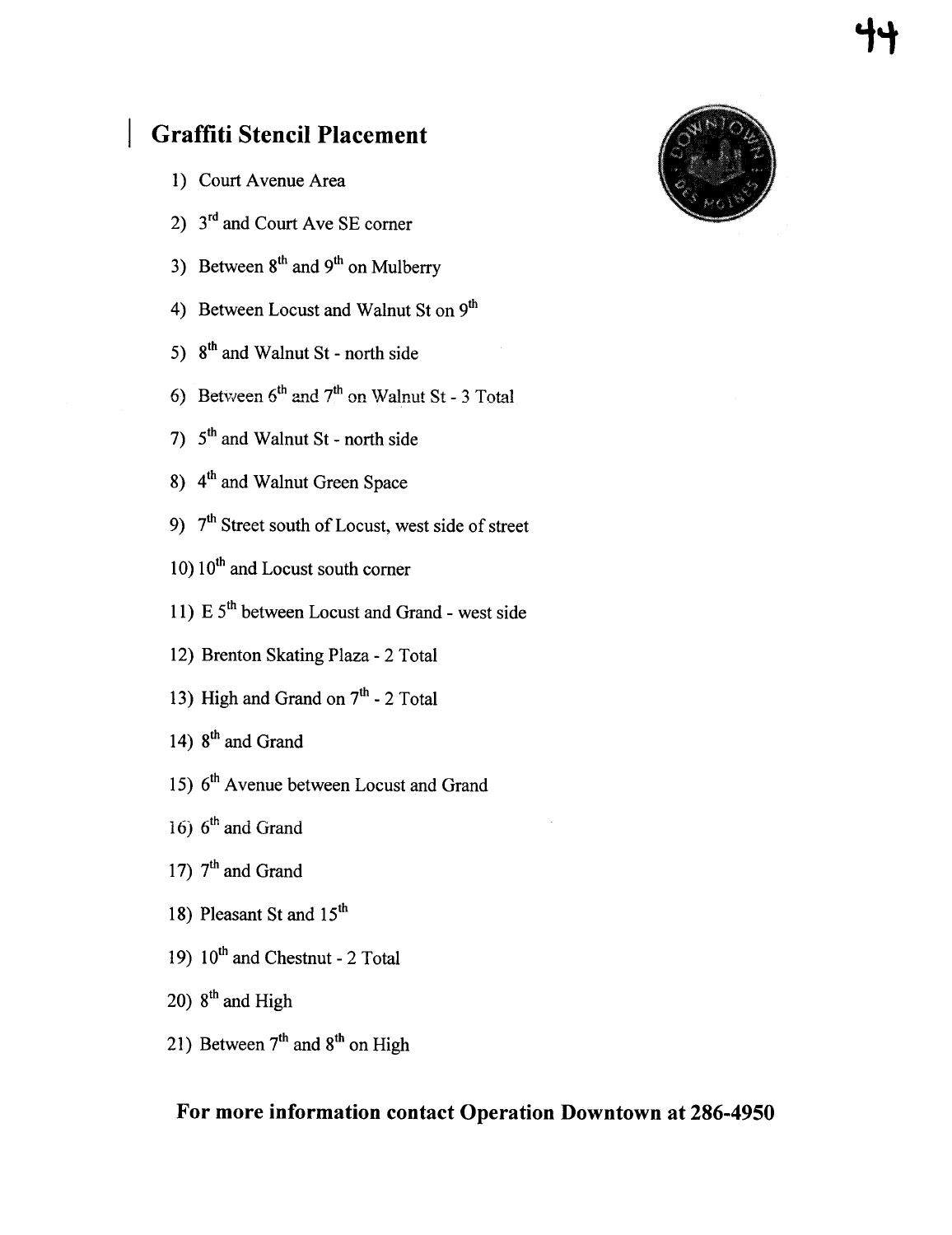## Graffiti Stencil Placement

- 1) Court Avenue Area
- 2)  $3<sup>rd</sup>$  and Court Ave SE corner
- 3) Between  $8<sup>th</sup>$  and  $9<sup>th</sup>$  on Mulberry
- 4) Between Locust and Walnut St on 9<sup>th</sup>
- 5)  $8<sup>th</sup>$  and Walnut St north side
- 6) Between  $6<sup>th</sup>$  and  $7<sup>th</sup>$  on Walnut St 3 Total
- 7)  $5<sup>th</sup>$  and Walnut St north side
- 8)  $4<sup>th</sup>$  and Walnut Green Space
- 9)  $7<sup>th</sup>$  Street south of Locust, west side of street
- $10) 10<sup>th</sup>$  and Locust south corner
- 11)  $E 5<sup>th</sup>$  between Locust and Grand west side
- 12) Brenton Skating Plaza 2 Total
- 13) High and Grand on  $7<sup>th</sup>$  2 Total
- 14)  $8<sup>th</sup>$  and Grand
- 15) 6<sup>th</sup> Avenue between Locust and Grand
- 16)  $6<sup>th</sup>$  and Grand
- 17)  $7<sup>th</sup>$  and Grand
- 18) Pleasant St and 15<sup>th</sup>
- 19)  $10^{th}$  and Chestnut 2 Total
- 20)  $8<sup>th</sup>$  and High
- 21) Between  $7<sup>th</sup>$  and  $8<sup>th</sup>$  on High

## For more information contact Operation Downtown at 286-4950